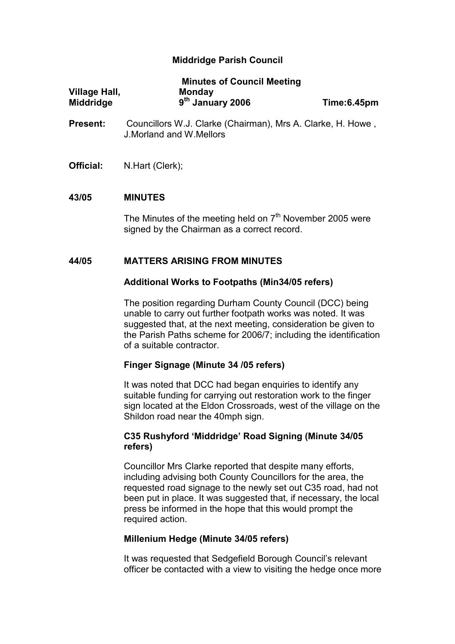## Middridge Parish Council

|                  | <b>Minutes of Council Meeting</b> |             |
|------------------|-----------------------------------|-------------|
| Village Hall,    | <b>Monday</b>                     |             |
| <b>Middridge</b> | 9 <sup>th</sup> January 2006      | Time:6.45pm |

- Present: Councillors W.J. Clarke (Chairman), Mrs A. Clarke, H. Howe, J.Morland and W.Mellors
- Official: N.Hart (Clerk);

### 43/05 MINUTES

The Minutes of the meeting held on  $7<sup>th</sup>$  November 2005 were signed by the Chairman as a correct record.

### 44/05 MATTERS ARISING FROM MINUTES

### Additional Works to Footpaths (Min34/05 refers)

The position regarding Durham County Council (DCC) being unable to carry out further footpath works was noted. It was suggested that, at the next meeting, consideration be given to the Parish Paths scheme for 2006/7; including the identification of a suitable contractor.

## Finger Signage (Minute 34 /05 refers)

It was noted that DCC had began enquiries to identify any suitable funding for carrying out restoration work to the finger sign located at the Eldon Crossroads, west of the village on the Shildon road near the 40mph sign.

## C35 Rushyford 'Middridge' Road Signing (Minute 34/05 refers)

Councillor Mrs Clarke reported that despite many efforts, including advising both County Councillors for the area, the requested road signage to the newly set out C35 road, had not been put in place. It was suggested that, if necessary, the local press be informed in the hope that this would prompt the required action.

### Millenium Hedge (Minute 34/05 refers)

It was requested that Sedgefield Borough Council's relevant officer be contacted with a view to visiting the hedge once more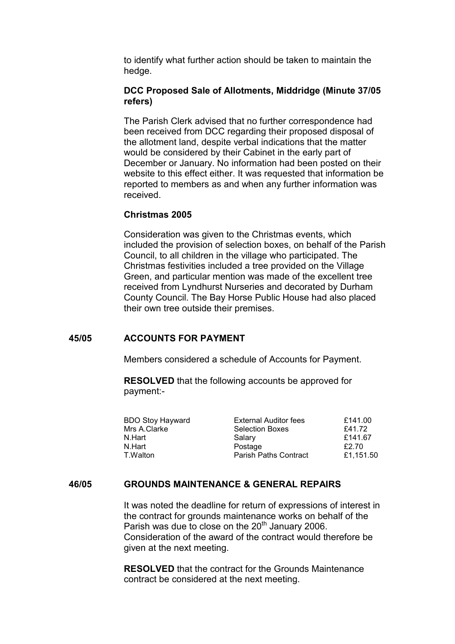to identify what further action should be taken to maintain the hedge.

### DCC Proposed Sale of Allotments, Middridge (Minute 37/05 refers)

The Parish Clerk advised that no further correspondence had been received from DCC regarding their proposed disposal of the allotment land, despite verbal indications that the matter would be considered by their Cabinet in the early part of December or January. No information had been posted on their website to this effect either. It was requested that information be reported to members as and when any further information was received.

### Christmas 2005

Consideration was given to the Christmas events, which included the provision of selection boxes, on behalf of the Parish Council, to all children in the village who participated. The Christmas festivities included a tree provided on the Village Green, and particular mention was made of the excellent tree received from Lyndhurst Nurseries and decorated by Durham County Council. The Bay Horse Public House had also placed their own tree outside their premises.

## 45/05 ACCOUNTS FOR PAYMENT

Members considered a schedule of Accounts for Payment.

 RESOLVED that the following accounts be approved for payment:-

| <b>BDO Stoy Hayward</b><br><b>External Auditor fees</b><br>Mrs A.Clarke<br><b>Selection Boxes</b><br>N.Hart<br>Salary<br>N.Hart<br>Postage<br><b>Parish Paths Contract</b><br>T.Walton | £141.00<br>£41.72<br>£141.67<br>£2.70<br>£1,151.50 |
|----------------------------------------------------------------------------------------------------------------------------------------------------------------------------------------|----------------------------------------------------|
|                                                                                                                                                                                        |                                                    |

## 46/05 GROUNDS MAINTENANCE & GENERAL REPAIRS

It was noted the deadline for return of expressions of interest in the contract for grounds maintenance works on behalf of the Parish was due to close on the  $20<sup>th</sup>$  January 2006. Consideration of the award of the contract would therefore be given at the next meeting.

RESOLVED that the contract for the Grounds Maintenance contract be considered at the next meeting.